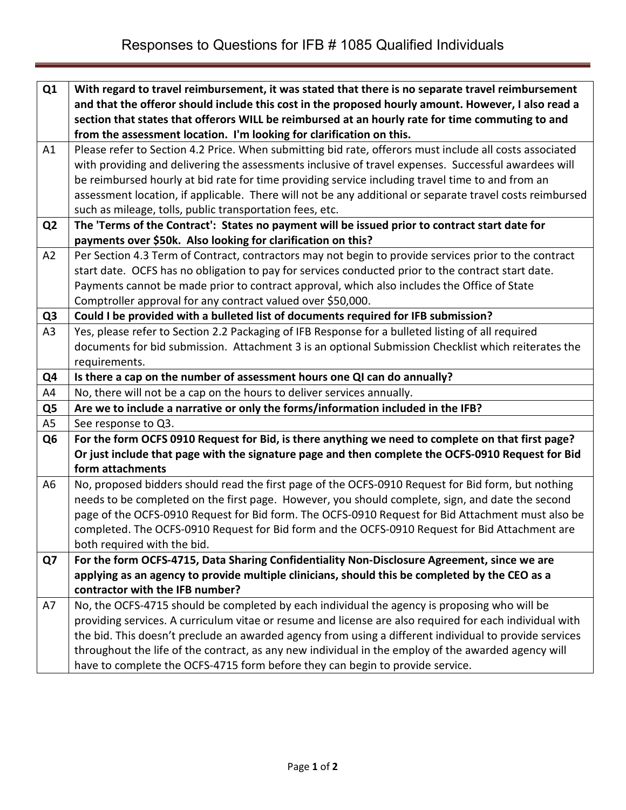| Q1             | With regard to travel reimbursement, it was stated that there is no separate travel reimbursement        |
|----------------|----------------------------------------------------------------------------------------------------------|
|                | and that the offeror should include this cost in the proposed hourly amount. However, I also read a      |
|                | section that states that offerors WILL be reimbursed at an hourly rate for time commuting to and         |
|                | from the assessment location. I'm looking for clarification on this.                                     |
| A1             | Please refer to Section 4.2 Price. When submitting bid rate, offerors must include all costs associated  |
|                | with providing and delivering the assessments inclusive of travel expenses. Successful awardees will     |
|                | be reimbursed hourly at bid rate for time providing service including travel time to and from an         |
|                | assessment location, if applicable. There will not be any additional or separate travel costs reimbursed |
|                | such as mileage, tolls, public transportation fees, etc.                                                 |
| Q <sub>2</sub> | The 'Terms of the Contract': States no payment will be issued prior to contract start date for           |
|                | payments over \$50k. Also looking for clarification on this?                                             |
| A2             | Per Section 4.3 Term of Contract, contractors may not begin to provide services prior to the contract    |
|                | start date. OCFS has no obligation to pay for services conducted prior to the contract start date.       |
|                | Payments cannot be made prior to contract approval, which also includes the Office of State              |
|                | Comptroller approval for any contract valued over \$50,000.                                              |
| Q <sub>3</sub> | Could I be provided with a bulleted list of documents required for IFB submission?                       |
| A3             | Yes, please refer to Section 2.2 Packaging of IFB Response for a bulleted listing of all required        |
|                | documents for bid submission. Attachment 3 is an optional Submission Checklist which reiterates the      |
|                | requirements.                                                                                            |
| Q4             | Is there a cap on the number of assessment hours one QI can do annually?                                 |
| A4             | No, there will not be a cap on the hours to deliver services annually.                                   |
| Q <sub>5</sub> | Are we to include a narrative or only the forms/information included in the IFB?                         |
| A5             | See response to Q3.                                                                                      |
| Q <sub>6</sub> | For the form OCFS 0910 Request for Bid, is there anything we need to complete on that first page?        |
|                | Or just include that page with the signature page and then complete the OCFS-0910 Request for Bid        |
|                | form attachments                                                                                         |
| A6             | No, proposed bidders should read the first page of the OCFS-0910 Request for Bid form, but nothing       |
|                | needs to be completed on the first page. However, you should complete, sign, and date the second         |
|                | page of the OCFS-0910 Request for Bid form. The OCFS-0910 Request for Bid Attachment must also be        |
|                | completed. The OCFS-0910 Request for Bid form and the OCFS-0910 Request for Bid Attachment are           |
|                | both required with the bid.                                                                              |
| Q7             | For the form OCFS-4715, Data Sharing Confidentiality Non-Disclosure Agreement, since we are              |
|                | applying as an agency to provide multiple clinicians, should this be completed by the CEO as a           |
|                | contractor with the IFB number?                                                                          |
| A7             | No, the OCFS-4715 should be completed by each individual the agency is proposing who will be             |
|                | providing services. A curriculum vitae or resume and license are also required for each individual with  |
|                | the bid. This doesn't preclude an awarded agency from using a different individual to provide services   |
|                | throughout the life of the contract, as any new individual in the employ of the awarded agency will      |
|                | have to complete the OCFS-4715 form before they can begin to provide service.                            |